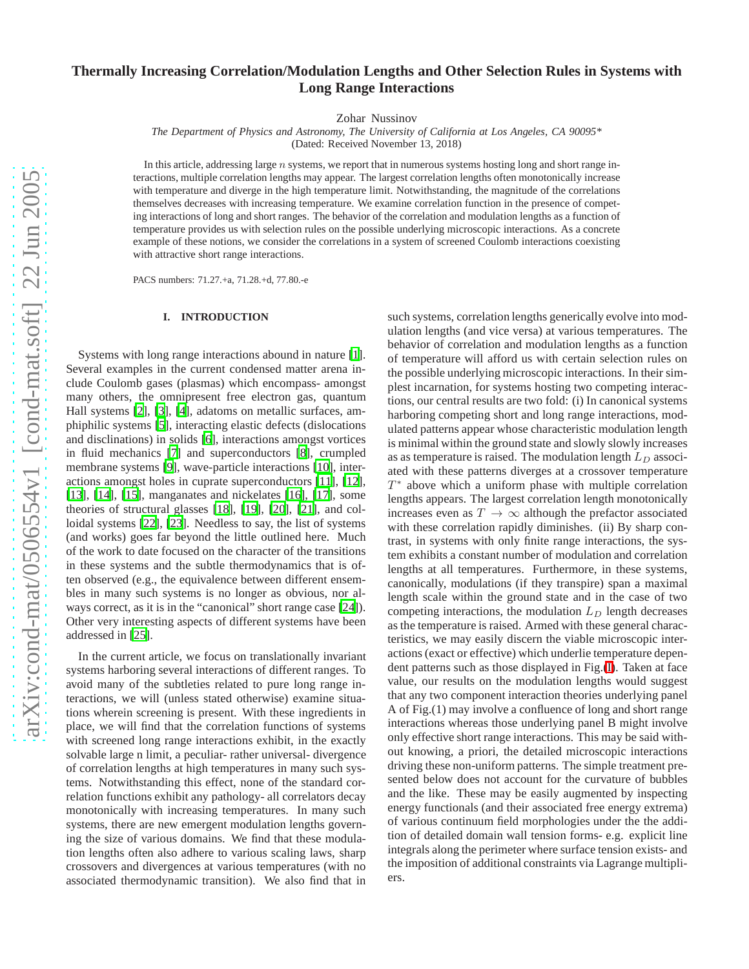# **Thermally Increasing Correlation/Modulation Lengths and Other Selection Rules in Systems with Long Range Interactions**

Zohar Nussinov

*The Department of Physics and Astronomy, The University of California at Los Angeles, CA 90095\**

(Dated: Received November 13, 2018)

In this article, addressing large  $n$  systems, we report that in numerous systems hosting long and short range interactions, multiple correlation lengths may appear. The largest correlation lengths often monotonically increase with temperature and diverge in the high temperature limit. Notwithstanding, the magnitude of the correlations themselves decreases with increasing temperature. We examine correlation function in the presence of competing interactions of long and short ranges. The behavior of the correlation and modulation lengths as a function of temperature provides us with selection rules on the possible underlying microscopic interactions. As a concrete example of these notions, we consider the correlations in a system of screened Coulomb interactions coexisting with attractive short range interactions.

PACS numbers: 71.27.+a, 71.28.+d, 77.80.-e

### **I. INTRODUCTION**

<span id="page-0-0"></span>Systems with long range interactions abound in nature [\[1](#page-5-0)]. Several examples in the current condensed matter arena include Coulomb gases (plasmas) which encompass- amongst many others, the omnipresent free electron gas, quantum Hall systems [\[2](#page-6-0)], [\[3\]](#page-6-1), [\[4\]](#page-6-2), adatoms on metallic surfaces, amphiphilic systems [\[5\]](#page-6-3), interacting elastic defects (dislocations and disclinations) in solids [\[6\]](#page-6-4), interactions amongst vortices in fluid mechanics [\[7\]](#page-6-5) and superconductors [\[8](#page-6-6)], crumpled membrane systems [\[9](#page-6-7)], wave-particle interactions [\[10](#page-6-8)], interactions amongst holes in cuprate superconductors [\[11\]](#page-6-9), [\[12](#page-6-10)], [\[13](#page-6-11)], [\[14\]](#page-6-12), [\[15\]](#page-6-13), manganates and nickelates [\[16](#page-6-14)], [\[17\]](#page-6-15), some theories of structural glasses [\[18](#page-6-16)], [\[19](#page-6-17)], [\[20](#page-6-18)], [\[21\]](#page-6-19), and colloidal systems [\[22](#page-6-20)], [\[23](#page-6-21)]. Needless to say, the list of systems (and works) goes far beyond the little outlined here. Much of the work to date focused on the character of the transitions in these systems and the subtle thermodynamics that is often observed (e.g., the equivalence between different ensembles in many such systems is no longer as obvious, nor always correct, as it is in the "canonical" short range case [\[24\]](#page-6-22)). Other very interesting aspects of different systems have been addressed in [\[25](#page-6-23)].

In the current article, we focus on translationally invariant systems harboring several interactions of different ranges. To avoid many of the subtleties related to pure long range interactions, we will (unless stated otherwise) examine situations wherein screening is present. With these ingredients in place, we will find that the correlation functions of systems with screened long range interactions exhibit, in the exactly solvable large n limit, a peculiar- rather universal- divergence of correlation lengths at high temperatures in many such systems. Notwithstanding this effect, none of the standard correlation functions exhibit any pathology- all correlators decay monotonically with increasing temperatures. In many such systems, there are new emergent modulation lengths governing the size of various domains. We find that these modulation lengths often also adhere to various scaling laws, sharp crossovers and divergences at various temperatures (with no associated thermodynamic transition). We also find that in such systems, correlation lengths generically evolve into modulation lengths (and vice versa) at various temperatures. The behavior of correlation and modulation lengths as a function of temperature will afford us with certain selection rules on the possible underlying microscopic interactions. In their simplest incarnation, for systems hosting two competing interactions, our central results are two fold: (i) In canonical systems harboring competing short and long range interactions, modulated patterns appear whose characteristic modulation length is minimal within the ground state and slowly slowly increases as as temperature is raised. The modulation length  $L_D$  associated with these patterns diverges at a crossover temperature T ∗ above which a uniform phase with multiple correlation lengths appears. The largest correlation length monotonically increases even as  $T \to \infty$  although the prefactor associated with these correlation rapidly diminishes. (ii) By sharp contrast, in systems with only finite range interactions, the system exhibits a constant number of modulation and correlation lengths at all temperatures. Furthermore, in these systems, canonically, modulations (if they transpire) span a maximal length scale within the ground state and in the case of two competing interactions, the modulation  $L_D$  length decreases as the temperature is raised. Armed with these general characteristics, we may easily discern the viable microscopic interactions (exact or effective) which underlie temperature dependent patterns such as those displayed in Fig.[\(I\)](#page-0-0). Taken at face value, our results on the modulation lengths would suggest that any two component interaction theories underlying panel A of Fig.(1) may involve a confluence of long and short range interactions whereas those underlying panel B might involve only effective short range interactions. This may be said without knowing, a priori, the detailed microscopic interactions driving these non-uniform patterns. The simple treatment presented below does not account for the curvature of bubbles and the like. These may be easily augmented by inspecting energy functionals (and their associated free energy extrema) of various continuum field morphologies under the the addition of detailed domain wall tension forms- e.g. explicit line integrals along the perimeter where surface tension exists- and the imposition of additional constraints via Lagrange multipliers.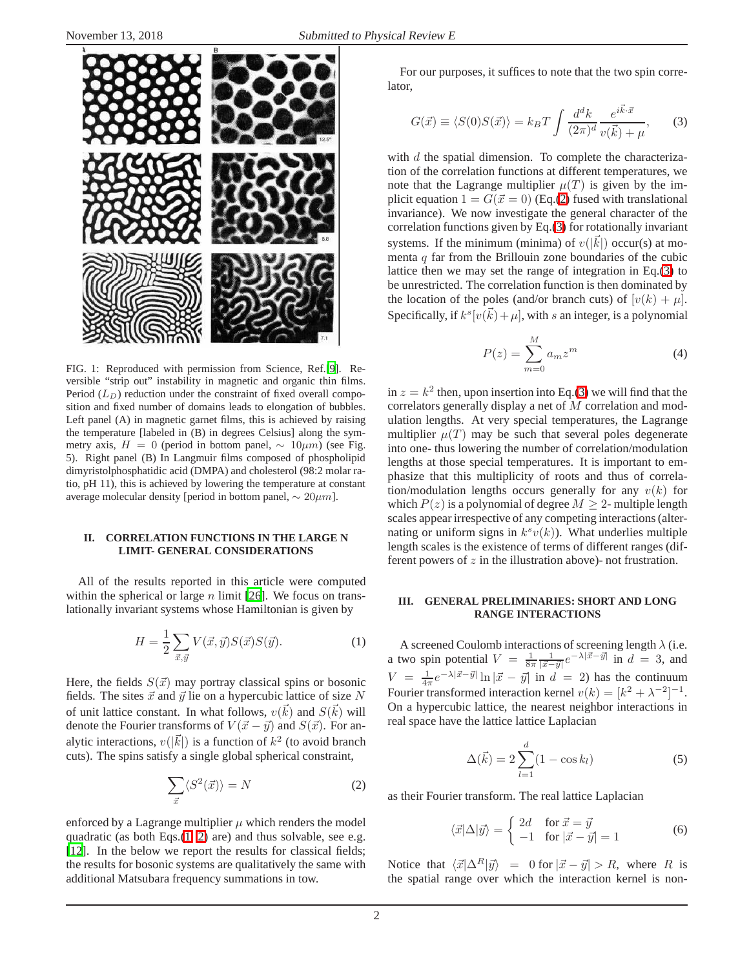

FIG. 1: Reproduced with permission from Science, Ref.[\[9\]](#page-6-7). Reversible "strip out" instability in magnetic and organic thin films. Period  $(L_D)$  reduction under the constraint of fixed overall composition and fixed number of domains leads to elongation of bubbles. Left panel (A) in magnetic garnet films, this is achieved by raising the temperature [labeled in (B) in degrees Celsius] along the symmetry axis,  $H = 0$  (period in bottom panel,  $\sim 10 \mu m$ ) (see Fig. 5). Right panel (B) In Langmuir films composed of phospholipid dimyristolphosphatidic acid (DMPA) and cholesterol (98:2 molar ratio, pH 11), this is achieved by lowering the temperature at constant average molecular density [period in bottom panel,  $\sim 20 \mu m$ ].

## **II. CORRELATION FUNCTIONS IN THE LARGE N LIMIT- GENERAL CONSIDERATIONS**

All of the results reported in this article were computed within the spherical or large n limit [\[26\]](#page-6-24). We focus on translationally invariant systems whose Hamiltonian is given by

$$
H = \frac{1}{2} \sum_{\vec{x}, \vec{y}} V(\vec{x}, \vec{y}) S(\vec{x}) S(\vec{y}). \tag{1}
$$

<span id="page-1-0"></span>Here, the fields  $S(\vec{x})$  may portray classical spins or bosonic fields. The sites  $\vec{x}$  and  $\vec{y}$  lie on a hypercubic lattice of size N of unit lattice constant. In what follows,  $v(\vec{k})$  and  $S(\vec{k})$  will denote the Fourier transforms of  $V(\vec{x} - \vec{y})$  and  $S(\vec{x})$ . For analytic interactions,  $v(|\vec{k}|)$  is a function of  $k^2$  (to avoid branch cuts). The spins satisfy a single global spherical constraint,

$$
\sum_{\vec{x}} \langle S^2(\vec{x}) \rangle = N \tag{2}
$$

<span id="page-1-1"></span>enforced by a Lagrange multiplier  $\mu$  which renders the model quadratic (as both Eqs.[\(1,](#page-1-0) [2\)](#page-1-1) are) and thus solvable, see e.g. [\[12](#page-6-10)]. In the below we report the results for classical fields; the results for bosonic systems are qualitatively the same with additional Matsubara frequency summations in tow.

For our purposes, it suffices to note that the two spin correlator,

$$
G(\vec{x}) \equiv \langle S(0)S(\vec{x}) \rangle = k_B T \int \frac{d^d k}{(2\pi)^d} \frac{e^{i\vec{k}\cdot\vec{x}}}{v(\vec{k}) + \mu}, \qquad (3)
$$

<span id="page-1-2"></span>with  $d$  the spatial dimension. To complete the characterization of the correlation functions at different temperatures, we note that the Lagrange multiplier  $\mu(T)$  is given by the implicit equation  $1 = G(\vec{x} = 0)$  (Eq.[\(2\)](#page-1-1) fused with translational invariance). We now investigate the general character of the correlation functions given by Eq.[\(3\)](#page-1-2) for rotationally invariant systems. If the minimum (minima) of  $v(|\vec{k}|)$  occur(s) at momenta  $q$  far from the Brillouin zone boundaries of the cubic lattice then we may set the range of integration in Eq.[\(3\)](#page-1-2) to be unrestricted. The correlation function is then dominated by the location of the poles (and/or branch cuts) of  $[v(k) + \mu]$ . Specifically, if  $k^{s}[v(\vec{k}) + \mu]$ , with s an integer, is a polynomial

$$
P(z) = \sum_{m=0}^{M} a_m z^m
$$
 (4)

in  $z = k^2$  then, upon insertion into Eq.[\(3\)](#page-1-2) we will find that the correlators generally display a net of M correlation and modulation lengths. At very special temperatures, the Lagrange multiplier  $\mu(T)$  may be such that several poles degenerate into one- thus lowering the number of correlation/modulation lengths at those special temperatures. It is important to emphasize that this multiplicity of roots and thus of correlation/modulation lengths occurs generally for any  $v(k)$  for which  $P(z)$  is a polynomial of degree  $M \geq 2$ - multiple length scales appear irrespective of any competing interactions (alternating or uniform signs in  $k^s v(k)$ ). What underlies multiple length scales is the existence of terms of different ranges (different powers of z in the illustration above)- not frustration.

## **III. GENERAL PRELIMINARIES: SHORT AND LONG RANGE INTERACTIONS**

A screened Coulomb interactions of screening length  $\lambda$  (i.e. a two spin potential  $V = \frac{1}{8\pi} \frac{1}{|\vec{x} - \vec{y}|} e^{-\lambda |\vec{x} - \vec{y}|}$  in  $d = 3$ , and  $V = \frac{1}{4\pi}e^{-\lambda|\vec{x}-\vec{y}|}\ln|\vec{x}-\vec{y}|$  in  $d = 2$ ) has the continuum Fourier transformed interaction kernel  $v(k) = [k^2 + \lambda^{-2}]^{-1}$ . On a hypercubic lattice, the nearest neighbor interactions in real space have the lattice lattice Laplacian

<span id="page-1-3"></span>
$$
\Delta(\vec{k}) = 2\sum_{l=1}^{d} (1 - \cos k_l) \tag{5}
$$

<span id="page-1-4"></span>as their Fourier transform. The real lattice Laplacian

$$
\langle \vec{x} | \Delta | \vec{y} \rangle = \begin{cases} 2d & \text{for } \vec{x} = \vec{y} \\ -1 & \text{for } |\vec{x} - \vec{y}| = 1 \end{cases}
$$
(6)

Notice that  $\langle \vec{x} | \Delta^R | \vec{y} \rangle = 0$  for  $|\vec{x} - \vec{y}| > R$ , where R is the spatial range over which the interaction kernel is non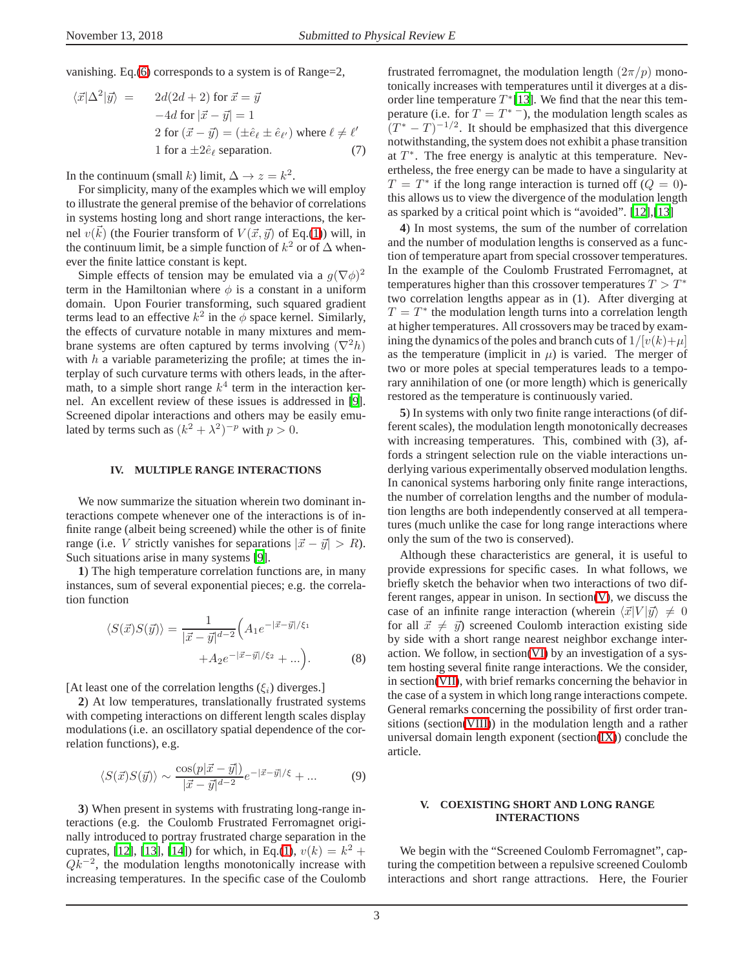vanishing. Eq.[\(6\)](#page-1-3) corresponds to a system is of Range=2,

$$
\langle \vec{x} | \Delta^2 | \vec{y} \rangle = 2d(2d+2) \text{ for } \vec{x} = \vec{y}
$$
  
-4d for  $|\vec{x} - \vec{y}| = 1$   
2 for  $(\vec{x} - \vec{y}) = (\pm \hat{e}_{\ell} \pm \hat{e}_{\ell'})$  where  $\ell \neq \ell'$   
1 for a  $\pm 2\hat{e}_{\ell}$  separation. (7)

In the continuum (small k) limit,  $\Delta \rightarrow z = k^2$ .

For simplicity, many of the examples which we will employ to illustrate the general premise of the behavior of correlations in systems hosting long and short range interactions, the kernel  $v(\vec{k})$  (the Fourier transform of  $V(\vec{x}, \vec{y})$  of Eq.[\(1\)](#page-1-0)) will, in the continuum limit, be a simple function of  $k^2$  or of  $\Delta$  whenever the finite lattice constant is kept.

Simple effects of tension may be emulated via a  $g(\nabla \phi)^2$ term in the Hamiltonian where  $\phi$  is a constant in a uniform domain. Upon Fourier transforming, such squared gradient terms lead to an effective  $k^2$  in the  $\phi$  space kernel. Similarly, the effects of curvature notable in many mixtures and membrane systems are often captured by terms involving  $(\nabla^2 h)$ with  $h$  a variable parameterizing the profile; at times the interplay of such curvature terms with others leads, in the aftermath, to a simple short range  $k^4$  term in the interaction kernel. An excellent review of these issues is addressed in [\[9](#page-6-7)]. Screened dipolar interactions and others may be easily emulated by terms such as  $(k^2 + \lambda^2)^{-p}$  with  $p > 0$ .

#### **IV. MULTIPLE RANGE INTERACTIONS**

We now summarize the situation wherein two dominant interactions compete whenever one of the interactions is of infinite range (albeit being screened) while the other is of finite range (i.e. V strictly vanishes for separations  $|\vec{x} - \vec{y}| > R$ ). Such situations arise in many systems [\[9\]](#page-6-7).

**1**) The high temperature correlation functions are, in many instances, sum of several exponential pieces; e.g. the correlation function

$$
\langle S(\vec{x})S(\vec{y})\rangle = \frac{1}{|\vec{x}-\vec{y}|^{d-2}} \Big(A_1 e^{-|\vec{x}-\vec{y}|/\xi_1} + A_2 e^{-|\vec{x}-\vec{y}|/\xi_2} + \ldots\Big).
$$
 (8)

[At least one of the correlation lengths  $(\xi_i)$  diverges.]

**2**) At low temperatures, translationally frustrated systems with competing interactions on different length scales display modulations (i.e. an oscillatory spatial dependence of the correlation functions), e.g.

$$
\langle S(\vec{x})S(\vec{y})\rangle \sim \frac{\cos(p|\vec{x}-\vec{y}|)}{|\vec{x}-\vec{y}|^{d-2}} e^{-|\vec{x}-\vec{y}|/\xi} + \dots \tag{9}
$$

**3**) When present in systems with frustrating long-range interactions (e.g. the Coulomb Frustrated Ferromagnet originally introduced to portray frustrated charge separation in the cuprates, [\[12\]](#page-6-10), [\[13](#page-6-11)], [\[14](#page-6-12)]) for which, in Eq.[\(1\)](#page-1-0),  $v(k) = k^2 + 1$  $Qk^{-2}$ , the modulation lengths monotonically increase with increasing temperatures. In the specific case of the Coulomb frustrated ferromagnet, the modulation length  $(2\pi/p)$  monotonically increases with temperatures until it diverges at a disorder line temperature  $T^*[13]$  $T^*[13]$ . We find that the near this temperature (i.e. for  $T = T^*$ ), the modulation length scales as  $(T^* - T)^{-1/2}$ . It should be emphasized that this divergence notwithstanding, the system does not exhibit a phase transition at  $T^*$ . The free energy is analytic at this temperature. Nevertheless, the free energy can be made to have a singularity at  $T = T^*$  if the long range interaction is turned off  $(Q = 0)$ this allows us to view the divergence of the modulation length as sparked by a critical point which is "avoided". [\[12\]](#page-6-10),[\[13\]](#page-6-11)

**4**) In most systems, the sum of the number of correlation and the number of modulation lengths is conserved as a function of temperature apart from special crossover temperatures. In the example of the Coulomb Frustrated Ferromagnet, at temperatures higher than this crossover temperatures  $T > T^*$ two correlation lengths appear as in (1). After diverging at  $T = T^*$  the modulation length turns into a correlation length at higher temperatures. All crossovers may be traced by examining the dynamics of the poles and branch cuts of  $1/[v(k)+\mu]$ as the temperature (implicit in  $\mu$ ) is varied. The merger of two or more poles at special temperatures leads to a temporary annihilation of one (or more length) which is generically restored as the temperature is continuously varied.

**5**) In systems with only two finite range interactions (of different scales), the modulation length monotonically decreases with increasing temperatures. This, combined with  $(3)$ , affords a stringent selection rule on the viable interactions underlying various experimentally observed modulation lengths. In canonical systems harboring only finite range interactions, the number of correlation lengths and the number of modulation lengths are both independently conserved at all temperatures (much unlike the case for long range interactions where only the sum of the two is conserved).

Although these characteristics are general, it is useful to provide expressions for specific cases. In what follows, we briefly sketch the behavior when two interactions of two different ranges, appear in unison. In section[\(V\)](#page-2-0), we discuss the case of an infinite range interaction (wherein  $\langle \vec{x} | V | \vec{y} \rangle \neq 0$ for all  $\vec{x} \neq \vec{y}$  screened Coulomb interaction existing side by side with a short range nearest neighbor exchange interaction. We follow, in section[\(VI\)](#page-4-0) by an investigation of a system hosting several finite range interactions. We the consider, in section[\(VII\)](#page-5-1), with brief remarks concerning the behavior in the case of a system in which long range interactions compete. General remarks concerning the possibility of first order transitions (section[\(VIII\)](#page-5-2)) in the modulation length and a rather universal domain length exponent (section $(IX)$ ) conclude the article.

### **V. COEXISTING SHORT AND LONG RANGE INTERACTIONS**

<span id="page-2-0"></span>We begin with the "Screened Coulomb Ferromagnet", capturing the competition between a repulsive screened Coulomb interactions and short range attractions. Here, the Fourier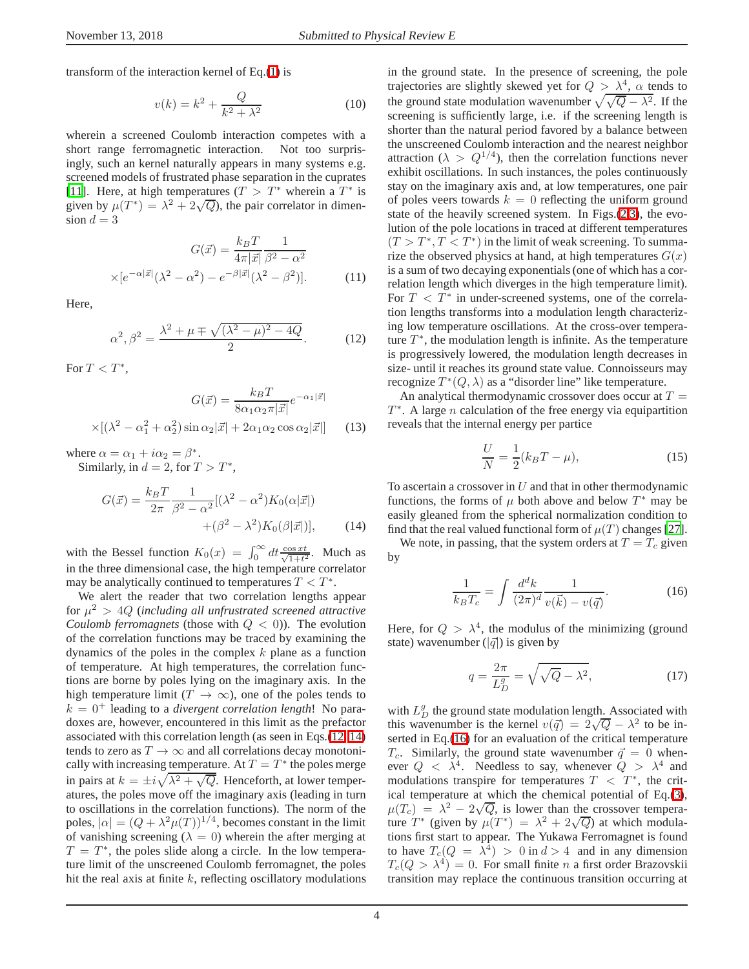<span id="page-3-3"></span>transform of the interaction kernel of Eq.[\(1\)](#page-1-0) is

$$
v(k) = k^2 + \frac{Q}{k^2 + \lambda^2}
$$
 (10)

wherein a screened Coulomb interaction competes with a short range ferromagnetic interaction. Not too surprisingly, such an kernel naturally appears in many systems e.g. screened models of frustrated phase separation in the cuprates [\[11](#page-6-9)]. Here, at high temperatures  $(T > T^*$  wherein a  $T^*$  is given by  $\mu(T^*) = \lambda^2 + 2\sqrt{Q}$ , the pair correlator in dimension  $d = 3$ 

$$
G(\vec{x}) = \frac{k_B T}{4\pi |\vec{x}|} \frac{1}{\beta^2 - \alpha^2}
$$

$$
\times [e^{-\alpha |\vec{x}|} (\lambda^2 - \alpha^2) - e^{-\beta |\vec{x}|} (\lambda^2 - \beta^2)].
$$
 (11)

<span id="page-3-0"></span>Here,

$$
\alpha^2, \beta^2 = \frac{\lambda^2 + \mu \mp \sqrt{(\lambda^2 - \mu)^2 - 4Q}}{2}.
$$
 (12)

For  $T < T^*$ ,

$$
G(\vec{x}) = \frac{k_B T}{8\alpha_1 \alpha_2 \pi |\vec{x}|} e^{-\alpha_1 |\vec{x}|}
$$

$$
\times [(\lambda^2 - \alpha_1^2 + \alpha_2^2) \sin \alpha_2 |\vec{x}| + 2\alpha_1 \alpha_2 \cos \alpha_2 |\vec{x}|] \qquad (13)
$$

<span id="page-3-1"></span>where  $\alpha = \alpha_1 + i\alpha_2 = \beta^*$ . Similarly, in  $d = 2$ , for  $T > T^*$ ,

$$
G(\vec{x}) = \frac{k_B T}{2\pi} \frac{1}{\beta^2 - \alpha^2} [(\lambda^2 - \alpha^2) K_0(\alpha | \vec{x}|)
$$

$$
+(\beta^2 - \lambda^2) K_0(\beta | \vec{x}|)], \qquad (14)
$$

with the Bessel function  $K_0(x) = \int_0^\infty dt \frac{\cos xt}{\sqrt{1+t^2}}$ . Much as in the three dimensional case, the high temperature correlator may be analytically continued to temperatures  $T < T^*$ .

We alert the reader that two correlation lengths appear for  $\mu^2 > 4Q$  (including all unfrustrated screened attractive *Coulomb ferromagnets* (those with  $Q < 0$ )). The evolution of the correlation functions may be traced by examining the dynamics of the poles in the complex  $k$  plane as a function of temperature. At high temperatures, the correlation functions are borne by poles lying on the imaginary axis. In the high temperature limit  $(T \to \infty)$ , one of the poles tends to  $k = 0<sup>+</sup>$  leading to a *divergent correlation length*! No paradoxes are, however, encountered in this limit as the prefactor associated with this correlation length (as seen in Eqs.[\(12,](#page-3-0) [14\)](#page-3-1) tends to zero as  $T \to \infty$  and all correlations decay monotonically with increasing temperature. At  $T = T^*$  the poles merge in pairs at  $k = \pm i \sqrt{\lambda^2 + \sqrt{Q}}$ . Henceforth, at lower temperatures, the poles move off the imaginary axis (leading in turn to oscillations in the correlation functions). The norm of the poles,  $|\alpha| = (Q + \lambda^2 \mu(T))^{1/4}$ , becomes constant in the limit of vanishing screening ( $\lambda = 0$ ) wherein the after merging at  $T = T^*$ , the poles slide along a circle. In the low temperature limit of the unscreened Coulomb ferromagnet, the poles hit the real axis at finite  $k$ , reflecting oscillatory modulations in the ground state. In the presence of screening, the pole trajectories are slightly skewed yet for  $Q > \lambda^4$ ,  $\alpha$  tends to the ground state modulation wavenumber  $\sqrt{\sqrt{Q} - \lambda^2}$ . If the screening is sufficiently large, i.e. if the screening length is shorter than the natural period favored by a balance between the unscreened Coulomb interaction and the nearest neighbor attraction ( $\lambda > Q^{1/4}$ ), then the correlation functions never exhibit oscillations. In such instances, the poles continuously stay on the imaginary axis and, at low temperatures, one pair of poles veers towards  $k = 0$  reflecting the uniform ground state of the heavily screened system. In Figs.[\(2](#page-4-1)[,3\)](#page-4-2), the evolution of the pole locations in traced at different temperatures  $(T > T^*, T < T^*)$  in the limit of weak screening. To summarize the observed physics at hand, at high temperatures  $G(x)$ is a sum of two decaying exponentials (one of which has a correlation length which diverges in the high temperature limit). For  $T < T^*$  in under-screened systems, one of the correlation lengths transforms into a modulation length characterizing low temperature oscillations. At the cross-over temperature  $T^*$ , the modulation length is infinite. As the temperature is progressively lowered, the modulation length decreases in size- until it reaches its ground state value. Connoisseurs may recognize  $T^*(Q, \lambda)$  as a "disorder line" like temperature.

An analytical thermodynamic crossover does occur at  $T =$  $T^*$ . A large *n* calculation of the free energy via equipartition reveals that the internal energy per partice

$$
\frac{U}{N} = \frac{1}{2}(k_B T - \mu),
$$
\n(15)

To ascertain a crossover in  $U$  and that in other thermodynamic functions, the forms of  $\mu$  both above and below  $T^*$  may be easily gleaned from the spherical normalization condition to find that the real valued functional form of  $\mu(T)$  changes [\[27](#page-6-25)].

We note, in passing, that the system orders at  $T = T_c$  given by

$$
\frac{1}{k_B T_c} = \int \frac{d^d k}{(2\pi)^d} \frac{1}{v(\vec{k}) - v(\vec{q})}.
$$
 (16)

<span id="page-3-2"></span>Here, for  $Q > \lambda^4$ , the modulus of the minimizing (ground state) wavenumber ( $|\vec{q}|$ ) is given by

$$
q = \frac{2\pi}{L_D^g} = \sqrt{\sqrt{Q} - \lambda^2},\tag{17}
$$

with  $L_D^g$  the ground state modulation length. Associated with this wavenumber is the kernel  $v(\vec{q}) = 2\sqrt{Q} - \lambda^2$  to be inserted in Eq.[\(16\)](#page-3-2) for an evaluation of the critical temperature  $T_c$ . Similarly, the ground state wavenumber  $\vec{q} = 0$  whenever  $Q \leq \lambda^4$ . Needless to say, whenever  $Q > \lambda^4$  and modulations transpire for temperatures  $T < T^*$ , the critical temperature at which the chemical potential of Eq.[\(3\)](#page-1-2),  $\mu(T_c) = \lambda^2 - 2\sqrt{Q}$ , is lower than the crossover temperature  $T^*$  (given by  $\mu(T^*) = \lambda^2 + 2\sqrt{Q}$ ) at which modulations first start to appear. The Yukawa Ferromagnet is found to have  $T_c(Q = \overline{\lambda}^4) > 0$  in  $d > 4$  and in any dimension  $T_c(Q > \lambda^4) = 0$ . For small finite *n* a first order Brazovskii transition may replace the continuous transition occurring at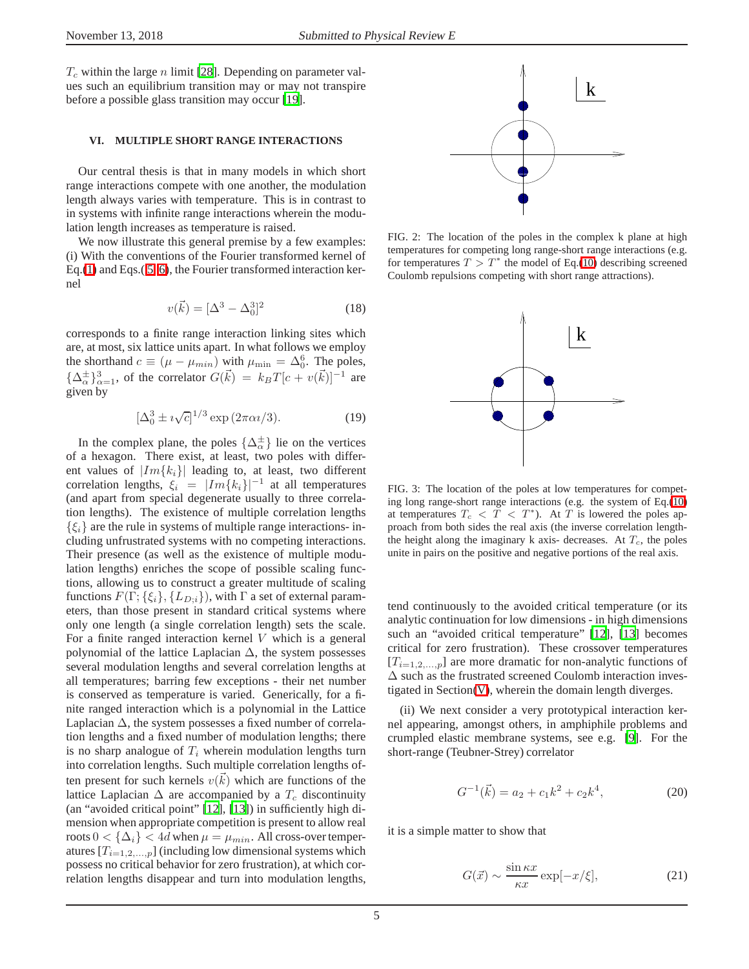$T_c$  within the large n limit [\[28](#page-6-26)]. Depending on parameter values such an equilibrium transition may or may not transpire before a possible glass transition may occur [\[19](#page-6-17)].

# **VI. MULTIPLE SHORT RANGE INTERACTIONS**

<span id="page-4-0"></span>Our central thesis is that in many models in which short range interactions compete with one another, the modulation length always varies with temperature. This is in contrast to in systems with infinite range interactions wherein the modulation length increases as temperature is raised.

We now illustrate this general premise by a few examples: (i) With the conventions of the Fourier transformed kernel of Eq.[\(1\)](#page-1-0) and Eqs.( [5,](#page-1-4) [6\)](#page-1-3), the Fourier transformed interaction kernel

$$
v(\vec{k}) = [\Delta^3 - \Delta_0^3]^2 \tag{18}
$$

corresponds to a finite range interaction linking sites which are, at most, six lattice units apart. In what follows we employ the shorthand  $c \equiv (\mu - \mu_{min})$  with  $\mu_{min} = \Delta_0^6$ . The poles,  $\{\Delta_{\alpha}^{\pm}\}_{\alpha=1}^{3}$ , of the correlator  $G(\vec{k}) = k_B T[c + v(\vec{k})]^{-1}$  are given by

$$
[\Delta_0^3 \pm i\sqrt{c}]^{1/3} \exp(2\pi\alpha i/3).
$$
 (19)

In the complex plane, the poles  $\{\Delta_{\alpha}^{\pm}\}\$ lie on the vertices of a hexagon. There exist, at least, two poles with different values of  $|Im{k_i}\rangle$  leading to, at least, two different correlation lengths,  $\xi_i = |Im{k_i}|^{-1}$  at all temperatures (and apart from special degenerate usually to three correlation lengths). The existence of multiple correlation lengths  $\{\xi_i\}$  are the rule in systems of multiple range interactions- including unfrustrated systems with no competing interactions. Their presence (as well as the existence of multiple modulation lengths) enriches the scope of possible scaling functions, allowing us to construct a greater multitude of scaling functions  $F(\Gamma; {\xi_i}, {\{L_{D;i}\}})$ , with  $\Gamma$  a set of external parameters, than those present in standard critical systems where only one length (a single correlation length) sets the scale. For a finite ranged interaction kernel  $V$  which is a general polynomial of the lattice Laplacian  $\Delta$ , the system possesses several modulation lengths and several correlation lengths at all temperatures; barring few exceptions - their net number is conserved as temperature is varied. Generically, for a finite ranged interaction which is a polynomial in the Lattice Laplacian  $\Delta$ , the system possesses a fixed number of correlation lengths and a fixed number of modulation lengths; there is no sharp analogue of  $T_i$  wherein modulation lengths turn into correlation lengths. Such multiple correlation lengths often present for such kernels  $v(\vec{k})$  which are functions of the lattice Laplacian  $\Delta$  are accompanied by a  $T_c$  discontinuity (an "avoided critical point" [\[12\]](#page-6-10), [\[13\]](#page-6-11)) in sufficiently high dimension when appropriate competition is present to allow real roots  $0 < {\{\Delta_i\}} < 4d$  when  $\mu = \mu_{min}$ . All cross-over temperatures  $[T_{i=1,2,...,p}]$  (including low dimensional systems which possess no critical behavior for zero frustration), at which correlation lengths disappear and turn into modulation lengths,



<span id="page-4-1"></span>FIG. 2: The location of the poles in the complex k plane at high temperatures for competing long range-short range interactions (e.g. for temperatures  $T > T^*$  the model of Eq.[\(10\)](#page-3-3) describing screened Coulomb repulsions competing with short range attractions).



<span id="page-4-2"></span>FIG. 3: The location of the poles at low temperatures for competing long range-short range interactions (e.g. the system of Eq.[\(10\)](#page-3-3) at temperatures  $T_c < T < T^*$ ). At T is lowered the poles approach from both sides the real axis (the inverse correlation lengththe height along the imaginary k axis- decreases. At  $T_c$ , the poles unite in pairs on the positive and negative portions of the real axis.

tend continuously to the avoided critical temperature (or its analytic continuation for low dimensions - in high dimensions such an "avoided critical temperature" [\[12\]](#page-6-10), [\[13\]](#page-6-11) becomes critical for zero frustration). These crossover temperatures  $[T_{i=1,2,...,p}]$  are more dramatic for non-analytic functions of ∆ such as the frustrated screened Coulomb interaction investigated in Section[\(V\)](#page-2-0), wherein the domain length diverges.

(ii) We next consider a very prototypical interaction kernel appearing, amongst others, in amphiphile problems and crumpled elastic membrane systems, see e.g. [\[9](#page-6-7)]. For the short-range (Teubner-Strey) correlator

$$
G^{-1}(\vec{k}) = a_2 + c_1 k^2 + c_2 k^4,
$$
 (20)

it is a simple matter to show that

$$
G(\vec{x}) \sim \frac{\sin \kappa x}{\kappa x} \exp[-x/\xi],\tag{21}
$$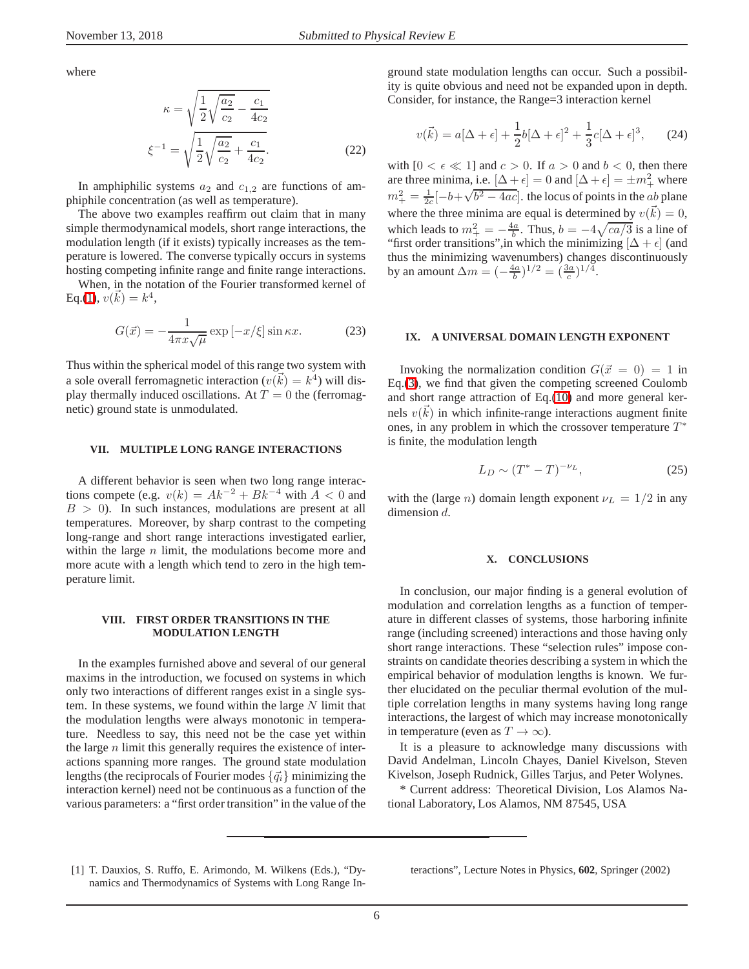where

$$
\kappa = \sqrt{\frac{1}{2}\sqrt{\frac{a_2}{c_2} - \frac{c_1}{4c_2}}}
$$

$$
\xi^{-1} = \sqrt{\frac{1}{2}\sqrt{\frac{a_2}{c_2} + \frac{c_1}{4c_2}}}.
$$
(22)

In amphiphilic systems  $a_2$  and  $c_{1,2}$  are functions of amphiphile concentration (as well as temperature).

The above two examples reaffirm out claim that in many simple thermodynamical models, short range interactions, the modulation length (if it exists) typically increases as the temperature is lowered. The converse typically occurs in systems hosting competing infinite range and finite range interactions.

When, in the notation of the Fourier transformed kernel of Eq.[\(1\)](#page-1-0),  $v(\vec{k}) = k^4$ ,

$$
G(\vec{x}) = -\frac{1}{4\pi x\sqrt{\mu}} \exp\left[-x/\xi\right] \sin \kappa x.
$$
 (23)

Thus within the spherical model of this range two system with a sole overall ferromagnetic interaction ( $v(\vec{k}) = k^4$ ) will display thermally induced oscillations. At  $T = 0$  the (ferromagnetic) ground state is unmodulated.

### **VII. MULTIPLE LONG RANGE INTERACTIONS**

<span id="page-5-1"></span>A different behavior is seen when two long range interactions compete (e.g.  $v(k) = Ak^{-2} + Bk^{-4}$  with  $A < 0$  and  $B > 0$ ). In such instances, modulations are present at all temperatures. Moreover, by sharp contrast to the competing long-range and short range interactions investigated earlier, within the large  $n$  limit, the modulations become more and more acute with a length which tend to zero in the high temperature limit.

### **VIII. FIRST ORDER TRANSITIONS IN THE MODULATION LENGTH**

<span id="page-5-2"></span>In the examples furnished above and several of our general maxims in the introduction, we focused on systems in which only two interactions of different ranges exist in a single system. In these systems, we found within the large  $N$  limit that the modulation lengths were always monotonic in temperature. Needless to say, this need not be the case yet within the large  $n$  limit this generally requires the existence of interactions spanning more ranges. The ground state modulation lengths (the reciprocals of Fourier modes  $\{\vec{q}_i\}$  minimizing the interaction kernel) need not be continuous as a function of the various parameters: a "first order transition" in the value of the

ground state modulation lengths can occur. Such a possibility is quite obvious and need not be expanded upon in depth. Consider, for instance, the Range=3 interaction kernel

$$
v(\vec{k}) = a[\Delta + \epsilon] + \frac{1}{2}b[\Delta + \epsilon]^2 + \frac{1}{3}c[\Delta + \epsilon]^3, \qquad (24)
$$

with  $[0 < \epsilon \ll 1]$  and  $c > 0$ . If  $a > 0$  and  $b < 0$ , then there are three minima, i.e.  $[\Delta + \epsilon] = 0$  and  $[\Delta + \epsilon] = \pm m_+^2$  where  $m_+^2 = \frac{1}{2c}[-b+\sqrt{b^2-4ac}]$ . the locus of points in the  $\frac{1}{ab}$  plane where the three minima are equal is determined by  $v(\vec{k}) = 0$ , which leads to  $m^2 + \frac{4a}{b}$ . Thus,  $b = -4\sqrt{ca/3}$  is a line of "first order transitions",in which the minimizing  $[\Delta + \epsilon]$  (and thus the minimizing wavenumbers) changes discontinuously by an amount  $\Delta m = (-\frac{4a}{b})^{1/2} = (\frac{3a}{c})^{1/4}$ .

### **IX. A UNIVERSAL DOMAIN LENGTH EXPONENT**

<span id="page-5-3"></span>Invoking the normalization condition  $G(\vec{x} = 0) = 1$  in Eq.[\(3\)](#page-1-2), we find that given the competing screened Coulomb and short range attraction of Eq.[\(10\)](#page-3-3) and more general kernels  $v(\vec{k})$  in which infinite-range interactions augment finite ones, in any problem in which the crossover temperature  $T^*$ is finite, the modulation length

$$
L_D \sim (T^* - T)^{-\nu_L},
$$
\n(25)

with the (large *n*) domain length exponent  $\nu_L = 1/2$  in any dimension d.

## **X. CONCLUSIONS**

In conclusion, our major finding is a general evolution of modulation and correlation lengths as a function of temperature in different classes of systems, those harboring infinite range (including screened) interactions and those having only short range interactions. These "selection rules" impose constraints on candidate theories describing a system in which the empirical behavior of modulation lengths is known. We further elucidated on the peculiar thermal evolution of the multiple correlation lengths in many systems having long range interactions, the largest of which may increase monotonically in temperature (even as  $T \to \infty$ ).

It is a pleasure to acknowledge many discussions with David Andelman, Lincoln Chayes, Daniel Kivelson, Steven Kivelson, Joseph Rudnick, Gilles Tarjus, and Peter Wolynes.

\* Current address: Theoretical Division, Los Alamos National Laboratory, Los Alamos, NM 87545, USA

<span id="page-5-0"></span><sup>[1]</sup> T. Dauxios, S. Ruffo, E. Arimondo, M. Wilkens (Eds.), "Dynamics and Thermodynamics of Systems with Long Range In-

teractions", Lecture Notes in Physics, **602**, Springer (2002)